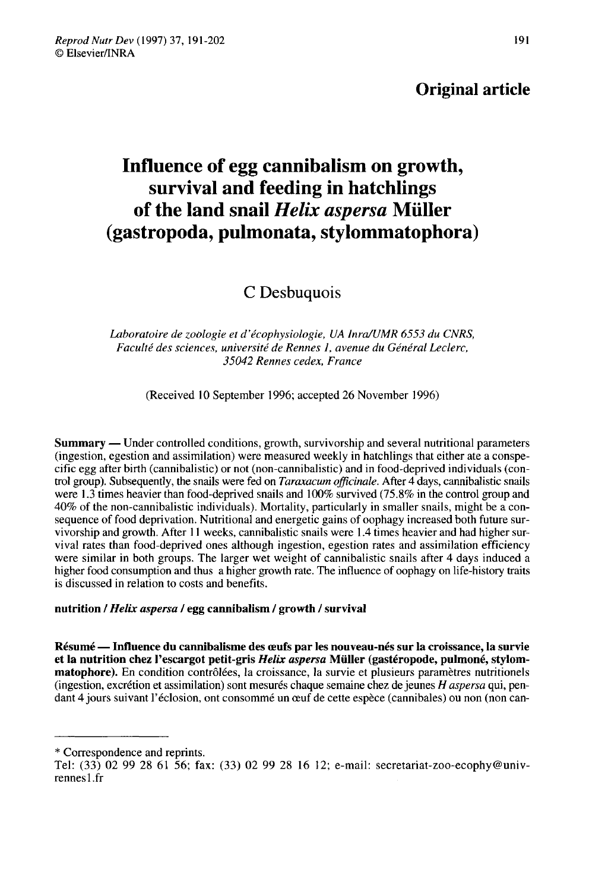## Original article

# Influence of egg cannibalism on growth, survival and feeding in hatchlings of the land snail Helix aspersa Müller (gastropoda, pulmonata, stylommatophora)

## C Desbuquois

Laboratoire de zoologie et d'écophysiologie, UA InralUMR 6553 du CNRS, Faculté des sciences, université de Rennes 1, avenue du Général Leclerc, 35042 Rennes cedex, France

(Received 10 September 1996; accepted 26 November 1996)

Summary ― Under controlled conditions, growth, survivorship and several nutritional parameters (ingestion, egestion and assimilation) were measured weekly in hatchlings that either ate a conspecific egg after birth (cannibalistic) or not (non-cannibalistic) and in food-deprived individuals (control group). Subsequently, the snails were fed on *Taraxacum officinale*. After 4 days, cannibalistic snails were 1.3 times heavier than food-deprived snails and 100% survived (75.8% in the control group and 40% of the non-cannibalistic individuals). Mortality, particularly in smaller snails, might be a consequence of food deprivation. Nutritional and energetic gains of oophagy increased both future survivorship and growth. After 11 weeks, cannibalistic snails were 1.4 times heavier and had higher survival rates than food-deprived ones although ingestion, egestion rates and assimilation efficiency were similar in both groups. The larger wet weight of cannibalistic snails after 4 days induced a higher food consumption and thus a higher growth rate. The influence of oophagy on life-history traits is discussed in relation to costs and benefits.

## nutrition / Helix aspersa / egg cannibalism / growth / survival

Résumé ― Influence du cannibalisme des oeufs par les nouveau-nés sur la croissance, la survie et la nutrition chez l'escargot petit-gris Helix aspersa Müller (gastéropode, pulmoné, stylommatophore). En condition contrôlées, la croissance, la survie et plusieurs paramètres nutritionels (ingestion, excrétion et assimilation) sont mesurés chaque semaine chez de jeunes H aspersa qui, pendant 4 jours suivant l'éclosion, ont consommé un œuf de cette espèce (cannibales) ou non (non can-

<sup>\*</sup> Correspondence and reprints.

Tel: (33) 02 99 28 61 56; fax: (33) 02 99 28 16 12; e-mail: secretariat-zoo-ecophy@univrennesl.fr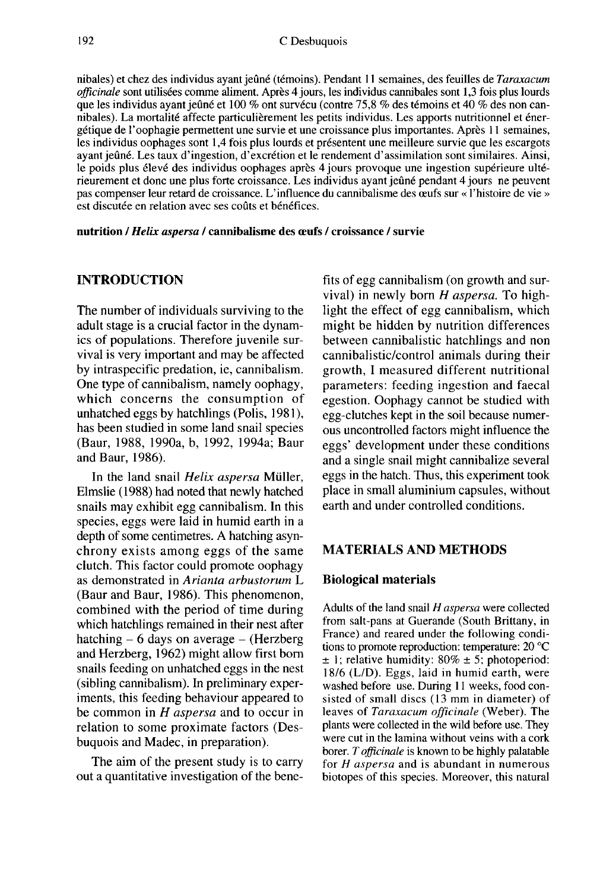nibales) et chez des individus ayant jeûné (témoins). Pendant 11 semaines, des feuilles de Taraxacum officinale sont utilisées comme aliment. Après 4 jours, les individus cannibales sont 1,3 fois plus lourds que les individus ayant jeûné et 100 % ont survécu (contre 75,8 % des témoins et 40 % des non cannibales). La mortalité affecte particulièrement les petits individus. Les apports nutritionnel et énergétique de l'oophagie permettent une survie et une croissance plus importantes. Après I semaines, les individus oophages sont 1,4 fois plus lourds et présentent une meilleure survie que les escargots ayant jeûné. Les taux d'ingestion, d'excrétion et le rendement d'assimilation sont similaires. Ainsi, le poids plus élevé des individus oophages après 4 jours provoque une ingestion supérieure ultérieurement et donc une plus forte croissance. Les individus ayant jeûné pendant 4 jours ne peuvent pas compenser leur retard de croissance. L'influence du cannibalisme des oeufs sur « l'histoire de vie » est discutée en relation avec ses coûts et bénéfices.

#### nutrition / Helix aspersa / cannibalisme des œufs / croissance / survie

## INTRODUCTION

The number of individuals surviving to the adult stage is a crucial factor in the dynamics of populations. Therefore juvenile survival is very important and may be affected by intraspecific predation, ie, cannibalism. One type of cannibalism, namely oophagy, which concerns the consumption of unhatched eggs by hatchlings (Polis, 1981), has been studied in some land snail species (Baur, 1988, 1990a, b, 1992, 1994a; Baur and Baur, 1986).

In the land snail Helix aspersa Müller, Elmslie (1988) had noted that newly hatched snails may exhibit egg cannibalism. In this species, eggs were laid in humid earth in a depth of some centimetres. A hatching asynchrony exists among eggs of the same<br>clutch. This factor could promote oophagy as demonstrated in Arianta arbustorum L (Baur and Baur, 1986). This phenomenon, combined with the period of time during which hatchlings remained in their nest after hatching  $-6$  days on average  $-$  (Herzberg and Herzberg, 1962) might allow first born snails feeding on unhatched eggs in the nest (sibling cannibalism). In preliminary experiments, this feeding behaviour appeared to be common in  $H$  aspersa and to occur in relation to some proximate factors (Desbuquois and Madec, in preparation).

The aim of the present study is to carry out a quantitative investigation of the benefits of egg cannibalism (on growth and survival) in newly born  $H$  aspersa. To highlight the effect of egg cannibalism, which might be hidden by nutrition differences between cannibalistic hatchlings and non cannibalistic/control animals during their growth, I measured different nutritional parameters: feeding ingestion and faecal egestion. Oophagy cannot be studied with egg-clutches kept in the soil because numerous uncontrolled factors might influence the eggs' development under these conditions and a single snail might cannibalize several eggs in the hatch. Thus, this experiment took place in small aluminium capsules, without earth and under controlled conditions.

## MATERIALS AND METHODS

#### Biological materials

Adults of the land snail H aspersa were collected from salt-pans at Guerande (South Brittany, in France) and reared under the following conditions to promote reproduction: temperature: 20 °C  $\pm$  1; relative humidity: 80%  $\pm$  5; photoperiod: 18/6 (L/D). Eggs, laid in humid earth, were washed before use. During 11 weeks, food consisted of small discs (13 mm in diameter) of leaves of Taraxacum officinale (Weber). The plants were collected in the wild before use. They were cut in the lamina without veins with a cork borer. T officinale is known to be highly palatable for  $H$  aspersa and is abundant in numerous biotopes of this species. Moreover, this natural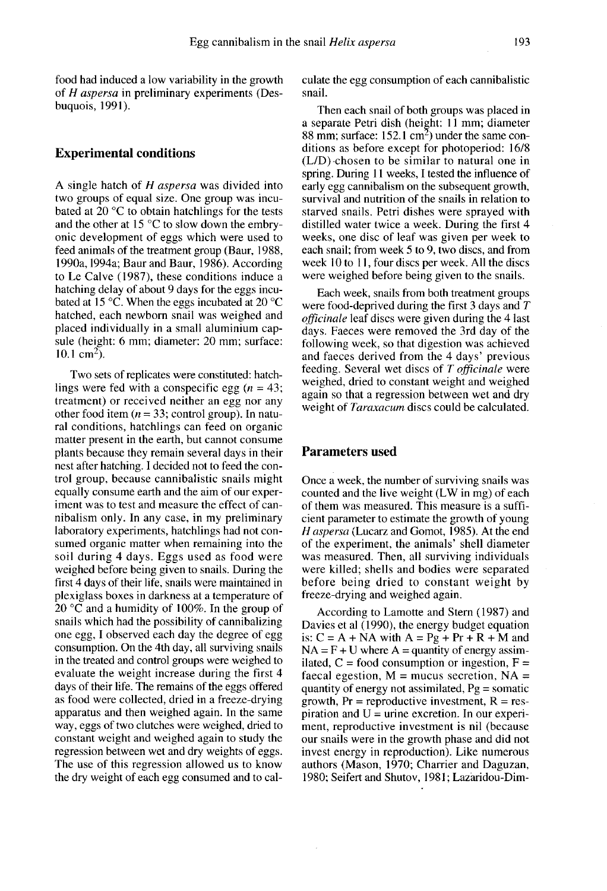food had induced a low variability in the growth of H aspersa in preliminary experiments (Desbuquois, 1991).

#### Experimental conditions

A single hatch of H aspersa was divided into two groups of equal size. One group was incubated at 20 °C to obtain hatchlings for the tests and the other at 15 °C to slow down the embryonic development of eggs which were used to feed animals of the treatment group (Baur, 1988, 1990a, 1994a; Baur and Baur, 1986). According to Le Calve (1987), these conditions induce a hatching delay of about 9 days for the eggs incubated at 15 °C. When the eggs incubated at 20 °C hatched, each newborn snail was weighed and placed individually in a small aluminium capsule (height: 6 mm; diameter: 20 mm; surface:  $10.1 \text{ cm}^2$ ).

Two sets of replicates were constituted: hatchlings were fed with a conspecific egg  $(n = 43)$ ; treatment) or received neither an egg nor any other food item ( $n = 33$ ; control group). In natural conditions, hatchlings can feed on organic matter present in the earth, but cannot consume plants because they remain several days in their nest after hatching. I decided not to feed the control group, because cannibalistic snails might equally consume earth and the aim of our experiment was to test and measure the effect of cannibalism only. In any case, in my preliminary laboratory experiments, hatchlings had not consumed organic matter when remaining into the soil during 4 days. Eggs used as food were weighed before being given to snails. During the first 4 days of their life, snails were maintained in plexiglass boxes in darkness at a temperature of 20 °C and a humidity of 100%. In the group of snails which had the possibility of cannibalizing one egg, I observed each day the degree of egg consumption. On the 4th day, all surviving snails in the treated and control groups were weighed to evaluate the weight increase during the first 4 days of their life. The remains of the eggs offered as food were collected, dried in a freeze-drying apparatus and then weighed again. In the same way, eggs of two clutches were weighed, dried to constant weight and weighed again to study the regression between wet and dry weights of eggs. The use of this regression allowed us to know the dry weight of each egg consumed and to calculate the egg consumption of each cannibalistic snail.

Then each snail of both groups was placed in a separate Petri dish (height: 11 mm; diameter 88 mm; surface:  $152.1 \text{ cm}^2$ ) under the same conditions as before except for photoperiod: 16/8 (L/D)-chosen to be similar to natural one in spring. During 11 weeks, I tested the influence of early egg cannibalism on the subsequent growth, survival and nutrition of the snails in relation to starved snails. Petri dishes were sprayed with distilled water twice a week. During the first 4 weeks, one disc of leaf was given per week to each snail; from week 5 to 9, two discs, and from week 10 to 11, four discs per week. All the discs were weighed before being given to the snails.

Each week, snails from both treatment groups were food-deprived during the first 3 days and T officinale leaf discs were given during the 4 last days. Faeces were removed the 3rd day of the following week, so that digestion was achieved and faeces derived from the 4 days' previous feeding. Several wet discs of  $T$  officinale were weighed, dried to constant weight and weighed again so that a regression between wet and dry weight of Taraxacum discs could be calculated.

#### Parameters used

Once a week, the number of surviving snails was counted and the live weight (LW in mg) of each of them was measured. This measure is a sufficient parameter to estimate the growth of young H aspersa (Lucarz and Gomot, 1985). At the end of the experiment, the animals' shell diameter was measured. Then, all surviving individuals were killed; shells and bodies were separated before being dried to constant weight by freeze-drying and weighed again.

According to Lamotte and Stern (1987) and Davies et al (1990), the energy budget equation is:  $C = A + NA$  with  $A = Pg + Pr + R + M$  and  $NA = F + U$  where A = quantity of energy assimilated,  $C =$  food consumption or ingestion,  $F =$ faecal egestion,  $M =$  mucus secretion,  $NA =$ quantity of energy not assimilated,  $Pg = somatic$ growth,  $Pr$  = reproductive investment,  $R$  = respiration and  $U =$  urine excretion. In our experiment, reproductive investment is nil (because our snails were in the growth phase and did not invest energy in reproduction). Like numerous authors (Mason, 1970; Charrier and Daguzan, 1980; Seifert and Shutov, 1981; Lazaridou-Dim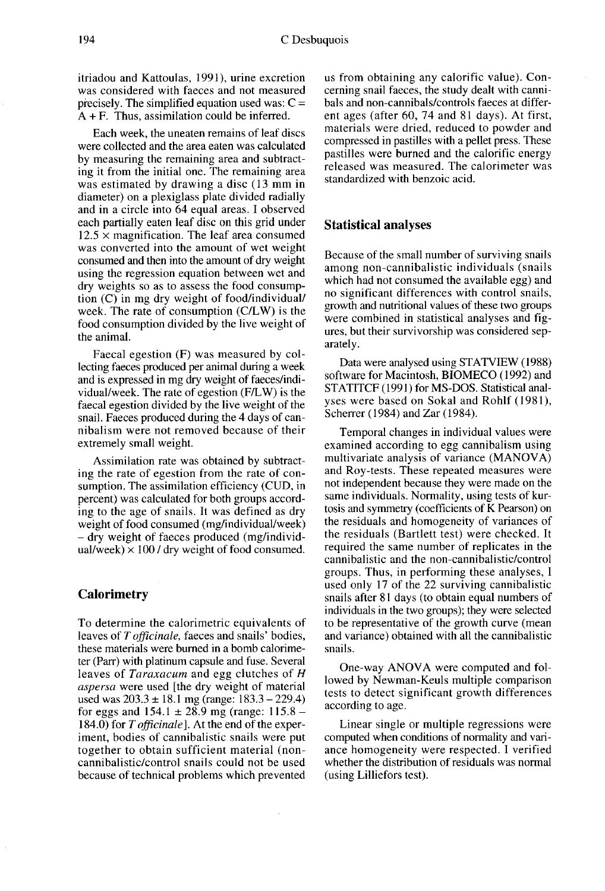itriadou and Kattoulas, 1991), urine excretion was considered with faeces and not measured precisely. The simplified equation used was:  $C =$  $A + F$ . Thus, assimilation could be inferred.

Each week, the uneaten remains of leaf discs were collected and the area eaten was calculated by measuring the remaining area and subtracting it from the initial one. The remaining area was estimated by drawing a disc (13 mm in diameter) on a plexiglass plate divided radially and in a circle into 64 equal areas. I observed each partially eaten leaf disc on this grid under  $12.5 \times$  magnification. The leaf area consumed was converted into the amount of wet weight consumed and then into the amount of dry weight using the regression equation between wet and dry weights so as to assess the food consumption (C) in mg dry weight of food/individual/ week. The rate of consumption (C/LW) is the food consumption divided by the live weight of the animal.

Faecal egestion (F) was measured by collecting faeces produced per animal during a week and is expressed in mg dry weight of faeces/individual/week. The rate of egestion (F/LW) is the faecal egestion divided by the live weight of the snail. Faeces produced during the 4 days of cannibalism were not removed because of their extremely small weight.

Assimilation rate was obtained by subtracting the rate of egestion from the rate of consumption. The assimilation efficiency (CUD, in percent) was calculated for both groups according to the age of snails. It was defined as dry<br>weight of food consumed (mg/individual/week)  $-$  dry weight of faeces produced (mg/individual/week)  $\times$  100 / dry weight of food consumed.

#### **Calorimetry**

To determine the calorimetric equivalents of leaves of  $T$  *officinale*, faeces and snails' bodies, these materials were burned in a bomb calorimeter (Parr) with platinum capsule and fuse. Several leaves of Taraxacum and egg clutches of H aspersa were used [the dry weight of material used was  $203.3 \pm 18.1$  mg (range:  $183.3 - 229.4$ ) for eggs and  $154.1 \pm 28.9$  mg (range:  $115.8 -$ 184.0) for T *officinale*]. At the end of the experiment, bodies of cannibalistic snails were put together to obtain sufficient material (noncannibalistic/control snails could not be used because of technical problems which prevented us from obtaining any calorific value). Concerning snail faeces, the study dealt with cannibals and non-cannibals/controls faeces at different ages (after 60, 74 and 81 days). At first, materials were dried, reduced to powder and compressed in pastilles with a pellet press. These pastilles were burned and the calorific energy released was measured. The calorimeter was standardized with benzoic acid.

### Statistical analyses

Because of the small number of surviving snails among non-cannibalistic individuals (snails which had not consumed the available egg) and no significant differences with control snails, growth and nutritional values of these two groups were combined in statistical analyses and fig ures, but their survivorship was considered separately.

Data were analysed using STATVIEW (1988) software for Macintosh, BIOMECO (1992) and STATITCF (1991) for MS-DOS. Statistical analyses were based on Sokal and Rohlf (1981), Scherrer (1984) and Zar (1984).

Temporal changes in individual values were examined according to egg cannibalism using multivariate analysis of variance (MANOVA) and Roy-tests. These repeated measures were not independent because they were made on the same individuals. Normality, using tests of kurtosis and symmetry (coefficients of K Pearson) on the residuals and homogeneity of variances of the residuals (Bartlett test) were checked. It required the same number of replicates in the cannibalistic and the non-cannibalistic/control groups. Thus, in performing these analyses, I used only 17 of the 22 surviving cannibalistic snails after 81 days (to obtain equal numbers of individuals in the two groups); they were selected to be representative of the growth curve (mean and variance) obtained with all the cannibalistic snails.

One-way ANOVA were computed and followed by Newman-Keuls multiple comparison tests to detect significant growth differences according to age.

Linear single or multiple regressions were computed when conditions of normality and variance homogeneity were respected. I verified whether the distribution of residuals was normal (using Lilliefors test).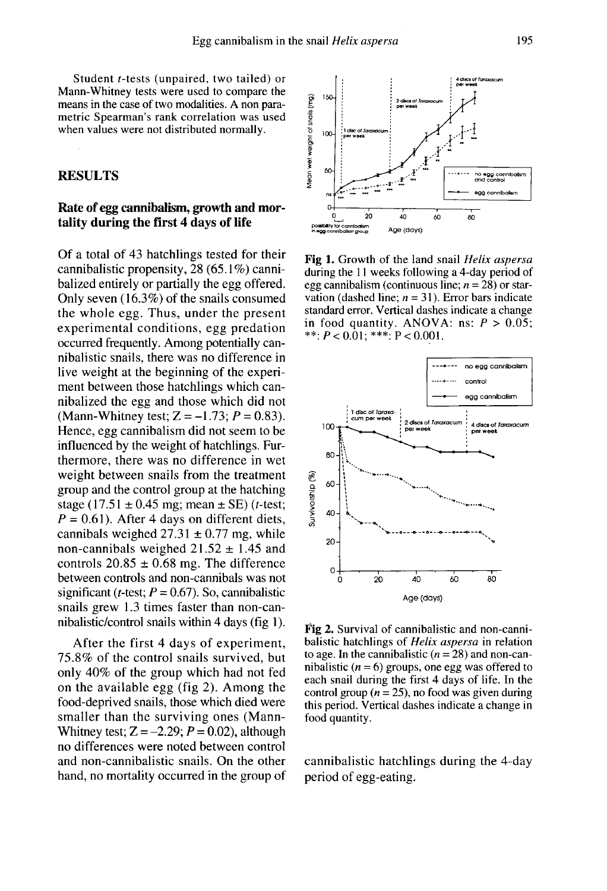Student t-tests (unpaired, two tailed) or Mann-Whitney tests were used to compare the means in the case of two modalities. A non parametric Spearman's rank correlation was used when values were not distributed normally.

## RESULTS

## Rate of egg cannibalism, growth and mortality during the first 4 days of life

Of a total of 43 hatchlings tested for their cannibalistic propensity, 28 (65.1%) cannibalized entirely or partially the egg offered. Only seven (16.3%) of the snails consumed the whole egg. Thus, under the present experimental conditions, egg predation occurred frequently. Among potentially cannibalistic snails, there was no difference in live weight at the beginning of the experi ment between those hatchlings which cannibalized the egg and those which did not (Mann-Whitney test;  $Z = -1.73$ ;  $P = 0.83$ ). Hence, egg cannibalism did not seem to be influenced by the weight of hatchlings. Furthermore, there was no difference in wet weight between snails from the treatment group and the control group at the hatching stage (17.51  $\pm$  0.45 mg; mean  $\pm$  SE) (*t*-test;  $P = 0.61$ ). After 4 days on different diets, cannibals weighed  $27.31 \pm 0.77$  mg, while non-cannibals weighed  $21.52 \pm 1.45$  and controls  $20.85 \pm 0.68$  mg. The difference between controls and non-cannibals was not significant (*t*-test;  $P = 0.67$ ). So, cannibalistic snails grew 1.3 times faster than non-cannibalistic/control snails within 4 days (fig 1).

After the first 4 days of experiment, 75.8% of the control snails survived, but only 40% of the group which had not fed on the available egg (fig 2). Among the food-deprived snails, those which died were smaller than the surviving ones (Mann-Whitney test;  $Z = -2.29$ ;  $P = 0.02$ ), although no differences were noted between control and non-cannibalistic snails. On the other hand, no mortality occurred in the group of



Fig 1. Growth of the land snail Helix aspersa during the 11 weeks following a 4-day period of egg cannibalism (continuous line;  $n = 28$ ) or starvation (dashed line;  $n = 31$ ). Error bars indicate standard error. Vertical dashes indicate a change in food quantity. ANOVA: ns:  $P > 0.05$ ; \*\*;  $P < 0.01$ ; \*\*\*;  $P < 0.001$ .



Fig 2. Survival of cannibalistic and non-cannibalistic hatchlings of *Helix aspersa* in relation to age. In the cannibalistic  $(n = 28)$  and non-cannibalistic ( $n = 6$ ) groups, one egg was offered to each snail during the first 4 days of life. In the control group ( $n = 25$ ), no food was given during this period. Vertical dashes indicate a change in food quantity.

cannibalistic hatchlings during the 4-day period of egg-eating.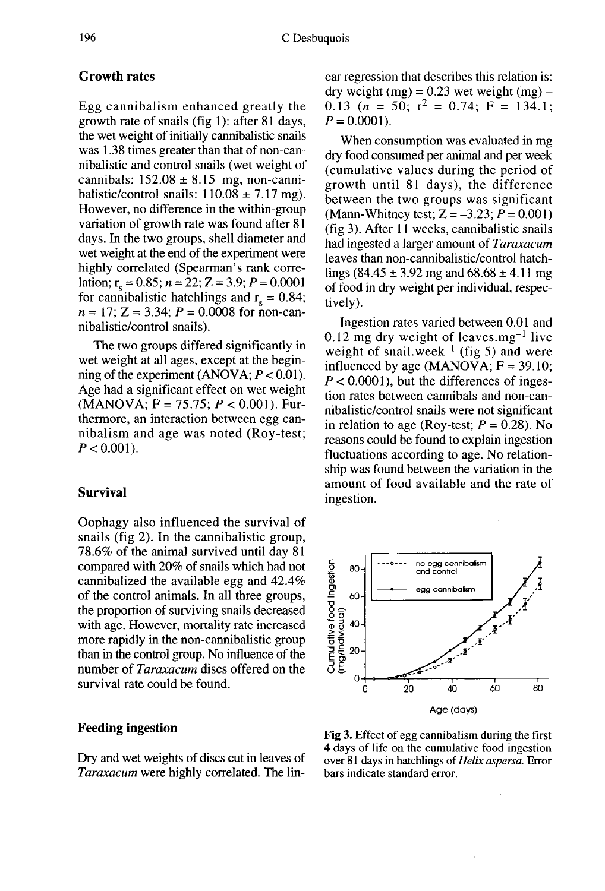## Growth rates

Egg cannibalism enhanced greatly the growth rate of snails (fig 1): after 81 days, the wet weight of initially cannibalistic snails was 1.38 times greater than that of non-cannibalistic and control snails (wet weight of cannibals:  $152.08 \pm 8.15$  mg, non-cannibalistic/control snails:  $110.08 \pm 7.17$  mg). However, no difference in the within-group variation of growth rate was found after 81 days. In the two groups, shell diameter and wet weight at the end of the experiment were highly correlated (Spearman's rank correlation;  $r_s = 0.85$ ;  $n = 22$ ;  $Z = 3.9$ ;  $P = 0.0001$ <br>for cannibalistic hatchlings and  $r_s = 0.84$ ;  $n = 17$ ; Z = 3.34;  $P = 0.0008$  for non-cannibalistic/control snails).

The two groups differed significantly in wet weight at all ages, except at the beginning of the experiment (ANOVA;  $P < 0.01$ ). Age had a significant effect on wet weight  $(MANOVA; F = 75.75; P < 0.001)$ . Furthermore, an interaction between egg cannibalism and age was noted (Roy-test;  $P < 0.001$ ).

## Survival

Oophagy also influenced the survival of snails (fig 2). In the cannibalistic group, 78.6% of the animal survived until day 81 compared with 20% of snails which had not cannibalized the available egg and 42.4% of the control animals. In all three groups, the proportion of surviving snails decreased with age. However, mortality rate increased more rapidly in the non-cannibalistic group than in the control group. No influence of the number of Taraxacum discs offered on the survival rate could be found.

## Feeding ingestion

Dry and wet weights of discs cut in leaves of Taraxacum were highly correlated. The linear regression that describes this relation is: dry weight (mg) =  $0.23$  wet weight (mg) – 0.13 ( $n = 50$ ;  $r^2 = 0.74$ ;  $F = 134.1$ ;  $P=0.0001$ .

When consumption was evaluated in mg dry food consumed per animal and per week (cumulative values during the period of growth until 81 days), the difference between the two groups was significant (Mann-Whitney test;  $Z = -3.23$ ;  $P = 0.001$ ) (fig 3). After 11 weeks, cannibalistic snails had ingested a larger amount of Taraxacum leaves than non-cannibalistic/control hatchlings (84.45  $\pm$  3.92 mg and 68.68  $\pm$  4.11 mg of food in dry weight per individual, respectively).

Ingestion rates varied between 0.01 and 0.12 mg dry weight of leaves.mg<sup>-1</sup> live weight of snail.week<sup>-1</sup> (fig 5) and were influenced by age (MANOVA;  $F = 39.10$ ;  $P < 0.0001$ ), but the differences of ingestion rates between cannibals and non-cannibalistic/control snails were not significant in relation to age (Roy-test;  $P = 0.28$ ). No reasons could be found to explain ingestion fluctuations according to age. No relationship was found between the variation in the amount of food available and the rate of ingestion.



Fig 3. Effect of egg cannibalism during the first 4 days of life on the cumulative food ingestion over 81 days in hatchlings of Helix aspersa. Error bars indicate standard error.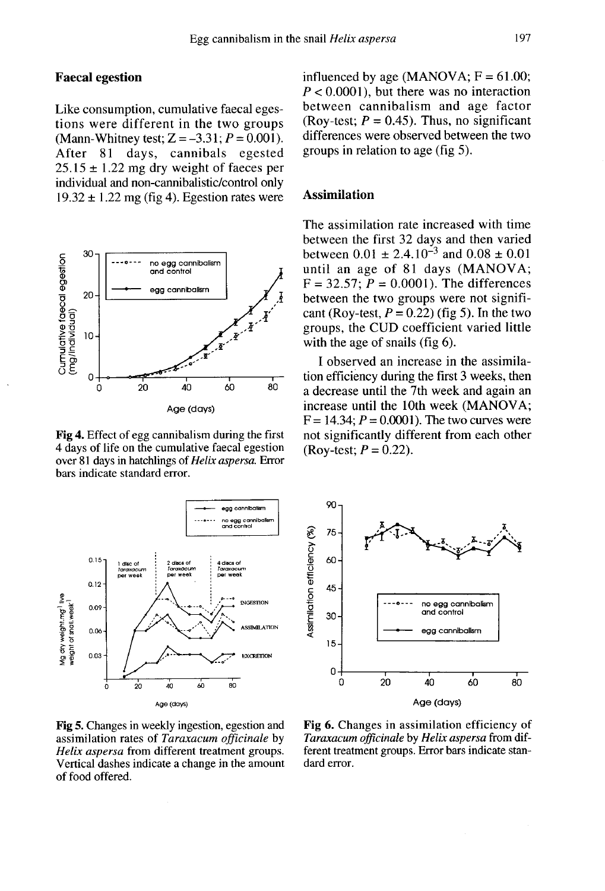## Faecal egestion

Like consumption, cumulative faecal egestions were different in the two groups (Mann-Whitney test;  $Z = -3.31$ ;  $P = 0.001$ ). After 81 days, cannibals egested  $25.15 \pm 1.22$  mg dry weight of faeces per individual and non-cannibalistic/control only  $19.32 \pm 1.22$  mg (fig 4). Egestion rates were



Fig 4. Effect of egg cannibalism during the first 4 days of life on the cumulative faecal egestion over 81 days in hatchlings of Helix aspersa. Error bars indicate standard error.



Fig 5. Changes in weekly ingestion, egestion and assimilation rates of Taraxacum officinale by Helix aspersa from different treatment groups. Vertical dashes indicate a change in the amount of food offered.

influenced by age (MANOVA;  $F = 61.00$ ;  $P < 0.0001$ ), but there was no interaction between cannibalism and age factor (Roy-test;  $P = 0.45$ ). Thus, no significant differences were observed between the two groups in relation to age (fig 5).

## Assimilation

The assimilation rate increased with time between the first 32 days and then varied between  $0.01 \pm 2.4.10^{-3}$  and  $0.08 \pm 0.01$ until an age of 81 days (MANOVA;  $F = 32.57$ ;  $P = 0.0001$ ). The differences between the two groups were not significant (Roy-test,  $P = 0.22$ ) (fig 5). In the two groups, the CUD coefficient varied little with the age of snails (fig 6).

I observed an increase in the assimilation efficiency during the first 3 weeks, then a decrease until the 7th week and again an increase until the 10th week (MANOVA;  $F = 14.34$ ;  $P = 0.0001$ ). The two curves were not significantly different from each other (Roy-test;  $P = 0.22$ ).



Fig 6. Changes in assimilation efficiency of Taraxacum officinale by Helix aspersa from different treatment groups. Error bars indicate standard error.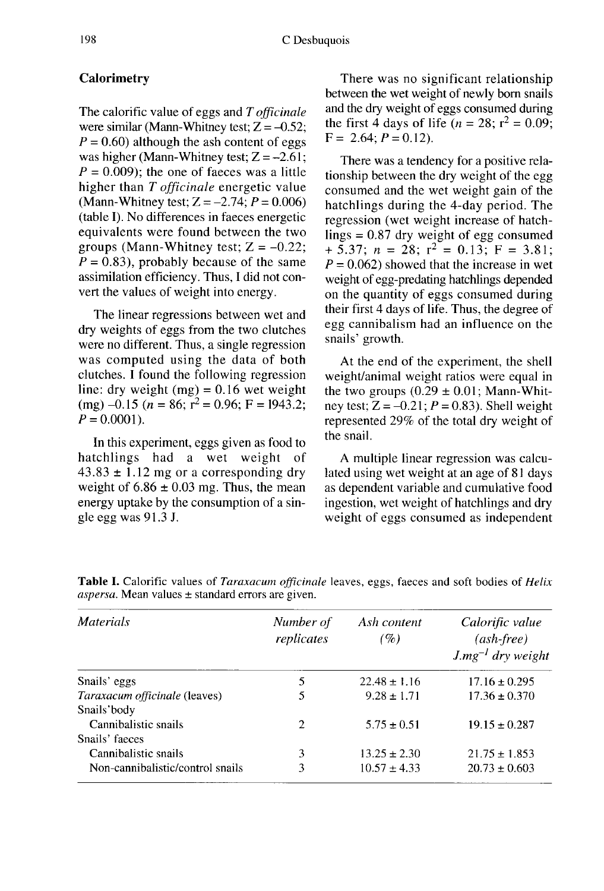## **Calorimetry**

The calorific value of eggs and T officinale<br>were similar (Mann-Whitney test;  $Z = -0.52$ ;  $P = 0.60$ ) although the ash content of eggs was higher (Mann-Whitney test;  $Z = -2.61$ ;  $P = 0.009$ ; the one of faeces was a little higher than T officinale energetic value (Mann-Whitney test;  $Z = -2.74$ ;  $P = 0.006$ ) (table I). No differences in faeces energetic equivalents were found between the two groups (Mann-Whitney test;  $Z = -0.22$ ;  $\overline{P} = 0.83$ , probably because of the same assimilation efficiency. Thus, I did not convert the values of weight into energy.

The linear regressions between wet and dry weights of eggs from the two clutches were no different. Thus, a single regression was computed using the data of both clutches. I found the following regression line: dry weight (mg) =  $0.16$  wet weight (mg)  $-0.15$  (n = 86; r<sup>2</sup> = 0.96; F = 1943.2;  $P = 0.0001$ .

In this experiment, eggs given as food to<br>tchlings had a wet weight of hatchlings had a wet weight  $43.83 \pm 1.12$  mg or a corresponding dry weight of  $6.86 \pm 0.03$  mg. Thus, the mean energy uptake by the consumption of a single egg was 91.3 J.

There was no significant relationship between the wet weight of newly bom snails and the dry weight of eggs consumed during the first 4 days of life  $(n = 28; r^2 = 0.09)$ .  $F = 2.64$ ;  $P = 0.12$ ).

There was a tendency for a positive relationship between the dry weight of the egg consumed and the wet weight gain of the hatchlings during the 4-day period. The regression (wet weight increase of hatchlings  $= 0.87$  dry weight of egg consumed + 5.37;  $n = 28$ ;  $r^2 = 0.13$ ;  $F = 3.81$ ;  $P = 0.062$ ) showed that the increase in wet weight of egg-predating hatchlings depended on the quantity of eggs consumed during their first 4 days of life. Thus, the degree of egg cannibalism had an influence on the snails' growth.

At the end of the experiment, the shell weight/animal weight ratios were equal in the two groups  $(0.29 \pm 0.01)$ ; Mann-Whitney test;  $Z = -0.21$ ;  $P = 0.83$ ). Shell weight represented 29% of the total dry weight of the snail.

A multiple linear regression was calculated using wet weight at an age of 81 days as dependent variable and cumulative food ingestion, wet weight of hatchlings and dry weight of eggs consumed as independent

| <i>Materials</i>                 | Number of<br>replicates | Ash content<br>(%) | Calorific value<br>$(ash-free)$<br>$J.mg^{-1}$ dry weight |
|----------------------------------|-------------------------|--------------------|-----------------------------------------------------------|
| Snails' eggs                     | 5                       | $22.48 \pm 1.16$   | $17.16 \pm 0.295$                                         |
| Taraxacum officinale (leaves)    | 5                       | $9.28 \pm 1.71$    | $17.36 \pm 0.370$                                         |
| Snails'body                      |                         |                    |                                                           |
| Cannibalistic snails             | $\overline{2}$          | $5.75 + 0.51$      | $19.15 \pm 0.287$                                         |
| Snails' faeces                   |                         |                    |                                                           |
| Cannibalistic snails             | 3                       | $13.25 \pm 2.30$   | $21.75 \pm 1.853$                                         |
| Non-cannibalistic/control snails | 3                       | $10.57 + 4.33$     | $20.73 \pm 0.603$                                         |

Table I. Calorific values of Taraxacum officinale leaves, eggs, faeces and soft bodies of Helix *aspersa*. Mean values  $\pm$  standard errors are given.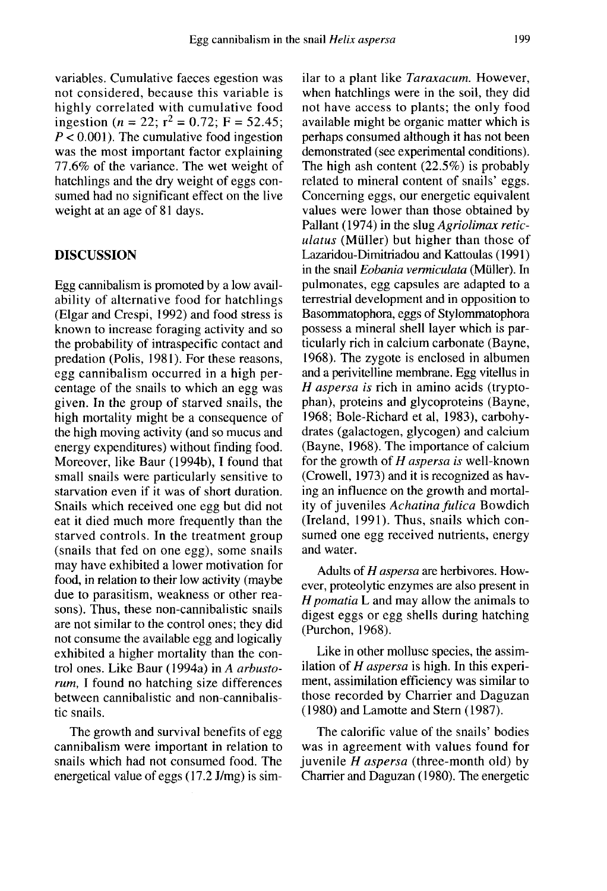variables. Cumulative faeces egestion was not considered, because this variable is highly correlated with cumulative food ingestion ( $n = 22$ ;  $r^2 = 0.72$ ; F = 52.45;  $P < 0.001$ ). The cumulative food ingestion was the most important factor explaining 77.6% of the variance. The wet weight of hatchlings and the dry weight of eggs consumed had no significant effect on the live weight at an age of 81 days.

#### DISCUSSION

Egg cannibalism is promoted by a low availability of alternative food for hatchlings (Elgar and Crespi, 1992) and food stress is known to increase foraging activity and so the probability of intraspecific contact and predation (Polis, 1981). For these reasons, egg cannibalism occurred in a high percentage of the snails to which an egg was given. In the group of starved snails, the high mortality might be a consequence of the high moving activity (and so mucus and energy expenditures) without finding food. Moreover, like Baur ( 1994b), I found that small snails were particularly sensitive to starvation even if it was of short duration. Snails which received one egg but did not eat it died much more frequently than the starved controls. In the treatment group (snails that fed on one egg), some snails may have exhibited a lower motivation for food, in relation to their low activity (maybe due to parasitism, weakness or other reasons). Thus, these non-cannibalistic snails are not similar to the control ones; they did not consume the available egg and logically exhibited a higher mortality than the control ones. Like Baur ( 1994a) in A arbustorum, I found no hatching size differences between cannibalistic and non-cannibalistic snails.

The growth and survival benefits of egg cannibalism were important in relation to snails which had not consumed food. The energetical value of eggs (17.2 J/mg) is similar to a plant like Taraxacum. However, when hatchlings were in the soil, they did not have access to plants; the only food available might be organic matter which is perhaps consumed although it has not been demonstrated (see experimental conditions). The high ash content (22.5%) is probably related to mineral content of snails' eggs. Concerning eggs, our energetic equivalent values were lower than those obtained by Pallant (1974) in the slug Agriolimax reticulatus (Müller) but higher than those of Lazaridou-Dimitriadou and Kattoulas (1991) in the snail *Eobania vermiculata* (Müller). In pulmonates, egg capsules are adapted to a terrestrial development and in opposition to Basommatophora, eggs of Stylommatophora possess a mineral shell layer which is particularly rich in calcium carbonate (Bayne, 1968). The zygote is enclosed in albumen and a perivitelline membrane. Egg vitellus in H aspersa is rich in amino acids (tryptophan), proteins and glycoproteins (Bayne, 1968; Bole-Richard et al, 1983), carbohydrates (galactogen, glycogen) and calcium (Bayne, 1968). The importance of calcium for the growth of  $H$  aspersa is well-known (Crowell, 1973) and it is recognized as having an influence on the growth and mortality of juveniles Achatina fulica Bowdich (Ireland, 1991). Thus, snails which consumed one egg received nutrients, energy and water.

Adults of H aspersa are herbivores. However, proteolytic enzymes are also present in  $H$  pomatia  $L$  and may allow the animals to digest eggs or egg shells during hatching (Purchon, 1968).

Like in other mollusc species, the assimilation of  $H$  aspersa is high. In this experiment, assimilation efficiency was similar to those recorded by Charrier and Daguzan (1980) and Lamotte and Stem (1987).

The calorific value of the snails' bodies was in agreement with values found for juvenile  $H$  aspersa (three-month old) by Charrier and Daguzan (1980). The energetic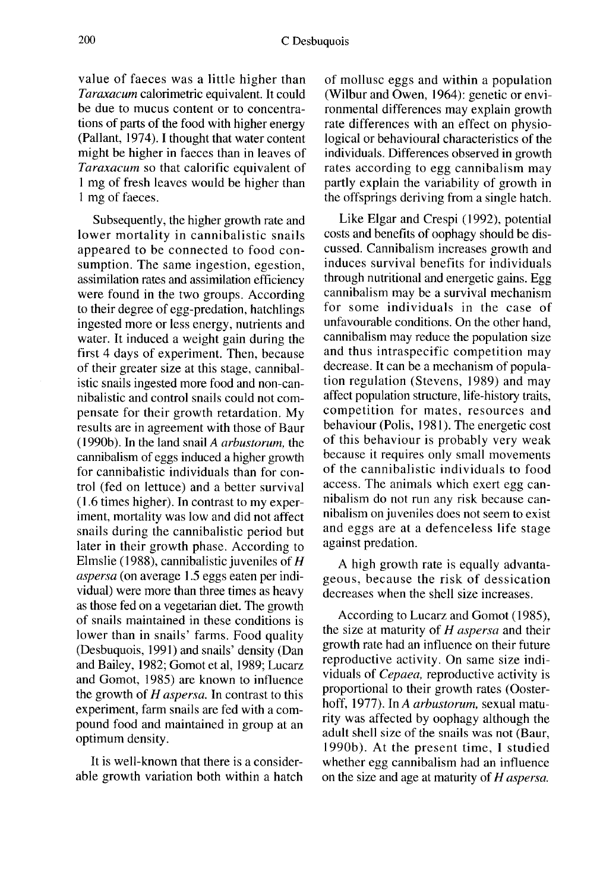value of faeces was a little higher than Taraxacum calorimetric equivalent. It could be due to mucus content or to concentrations of parts of the food with higher energy (Pallant, 1974). I thought that water content might be higher in faeces than in leaves of Taraxacum so that calorific equivalent of 1 mg of fresh leaves would be higher than I mg of faeces.

Subsequently, the higher growth rate and lower mortality in cannibalistic snails appeared to be connected to food consumption. The same ingestion, egestion, assimilation rates and assimilation efficiency were found in the two groups. According to their degree of egg-predation, hatchlings ingested more or less energy, nutrients and water. It induced a weight gain during the first 4 days of experiment. Then, because of their greater size at this stage, cannibalistic snails ingested more food and non-cannibalistic and control snails could not compensate for their growth retardation. My results are in agreement with those of Baur (1990b). In the land snail  $A$  arbustorum, the cannibalism of eggs induced a higher growth for cannibalistic individuals than for control (fed on lettuce) and a better survival (1.6 times higher). In contrast to my experiment, mortality was low and did not affect snails during the cannibalistic period but later in their growth phase. According to Elmslie (1988), cannibalistic juveniles of  $H$ aspersa (on average 1.5 eggs eaten per individual) were more than three times as heavy as those fed on a vegetarian diet. The growth of snails maintained in these conditions is lower than in snails' farms. Food quality (Desbuquois, 1991) and snails' density (Dan and Bailey, 1982; Gomot et al, 1989; Lucarz and Gomot, 1985) are known to influence the growth of  $H$  aspersa. In contrast to this experiment, farm snails are fed with a compound food and maintained in group at an optimum density.

It is well-known that there is a considerable growth variation both within a hatch

of mollusc eggs and within a population (Wilbur and Owen, 1964): genetic or environmental differences may explain growth rate differences with an effect on physiological or behavioural characteristics of the individuals. Differences observed in growth rates according to egg cannibalism may partly explain the variability of growth in the offsprings deriving from a single hatch.

Like Elgar and Crespi (1992), potential costs and benefits of oophagy should be discussed. Cannibalism increases growth and induces survival benefits for individuals through nutritional and energetic gains. Egg cannibalism may be a survival mechanism for some individuals in the case of unfavourable conditions. On the other hand, cannibalism may reduce the population size and thus intraspecific competition may decrease. It can be a mechanism of population regulation (Stevens, 1989) and may affect population structure, life-history traits, competition for mates, resources and behaviour (Polis, 1981). The energetic cost of this behaviour is probably very weak because it requires only small movements of the cannibalistic individuals to food access. The animals which exert egg cannibalism do not run any risk because cannibalism on juveniles does not seem to exist and eggs are at a defenceless life stage against predation.

A high growth rate is equally advantageous, because the risk of dessication decreases when the shell size increases.

According to Lucarz and Gomot (1985), the size at maturity of  $H$  aspersa and their growth rate had an influence on their future reproductive activity. On same size individuals of Cepaea, reproductive activity is proportional to their growth rates (Oosterhoff, 1977). In A arbustorum, sexual maturity was affected by oophagy although the adult shell size of the snails was not (Baur, 1990b). At the present time, I studied whether egg cannibalism had an influence on the size and age at maturity of  $H$  aspersa.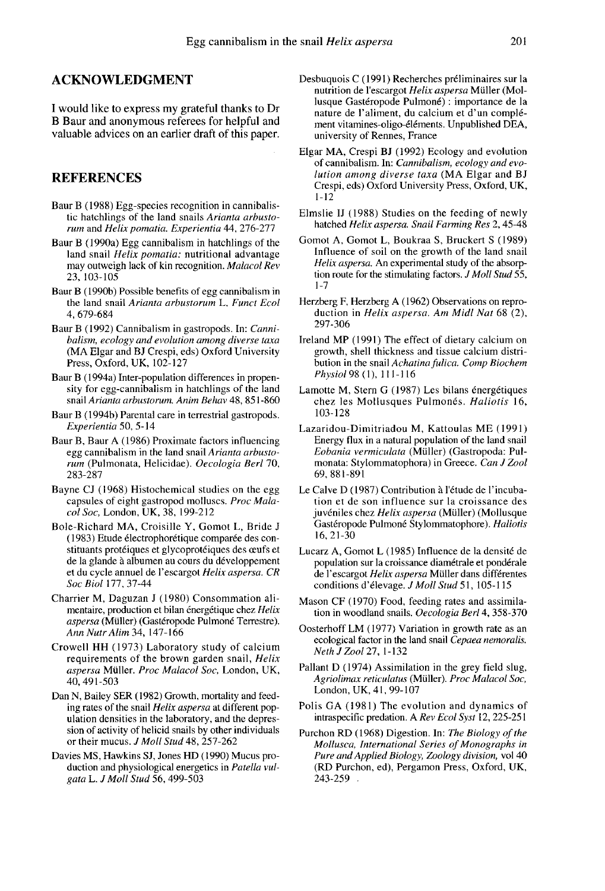## ACKNOWLEDGMENT

I would like to express my grateful thanks to Dr B Baur and anonymous referees for helpful and valuable advices on an earlier draft of this paper.

#### REFERENCES

- Baur B (1988) Egg-species recognition in cannibalistic hatchlings of the land snails Arianta arbustorum and Helix pomatia. Experientia 44, 276-277
- Baur B (1990a) Egg cannibalism in hatchlings of the land snail Helix pomatia: nutritional advantage may outweigh lack of kin recognition. Malacol Rev 23,103-105
- Baur B (1990b) Possible benefits of egg cannibalism in the land snail Arianta arbustorum L. Funct Ecol 4,679-684
- Baur B (1992) Cannibalism in gastropods. In: Cannibalism, ecology and evolution among diverse taxa (MA Elgar and BJ Crespi, eds) Oxford University Press, Oxford, UK, 102-127
- Baur B (1994a) Inter-population differences in propensity for egg-cannibalism in hatchlings of the land snail Arianta arbustorum. Anim Behav 48, 851-860
- Baur B ( 1994b) Parental care in terrestrial gastropods. Experientia 50, 5-14
- Baur B, Baur A (1986) Proximate factors influencing egg cannibalism in the land snail Arianta arbustorum (Pulmonata, Helicidae). Oecologia Berl 70, 283-287
- Bayne CJ (1968) Histochemical studies on the egg capsules of eight gastropod molluscs. Proc Malacol Soc, London, UK, 38, 199-212
- Bole-Richard MA, Croisille Y, Gomot L, Bride J (1983) Etude électrophorétique comparée des constituants protéiques et glycoprotéiques des œufs et de la glande à albumen au cours du développement et du cycle annuel de l'escargot Helix aspersa. CR Soc Biol 177, 37-44
- Charrier M, Daguzan J (1980) Consommation alimentaire, production et bilan énergétique chez Helix aspersa (Müller) (Gastéropode Pulmoné Terrestre).<br>Ann Nutr Alim 34, 147-166
- Crowell HH (1973) Laboratory study of calcium requirements of the brown garden snail, Helix aspersa Muller. Proc Malacol Soc, London, UK, 40, 491-503
- Dan N, Bailey SER (1982) Growth, mortality and feeding rates of the snail Helix aspersa at different pop ulation densities in the laboratory, and the depression of activity of helicid snails by other individuals or their mucus. J Moll Stud 48, 257-262
- Davies MS, Hawkins SJ, Jones HD (1990) Mucus production and physiological energetics in Patella vulgata L. J Moll Stud 56, 499-503
- Desbuquois C (1991) Recherches préliminaires sur la nutrition de l'escargot Helix aspersa Müller (Mollusque Gastéropode Pulmoné) : importance de la nature de 1'aliment, du calcium et d'un compl6 ment vitamines-oligo-616ments. Unpublished DEA, university of Rennes, France
- Elgar MA, Crespi BJ (1992) Ecology and evolution of cannibalism. In: Cannibalism, ecology and evolution among diverse taxa (MA Elgar and BJ Crespi, eds) Oxford University Press, Oxford, UK, 1-12
- Elmslie IJ (1988) Studies on the feeding of newly hatched Helix aspersa. Snail Farming Res 2, 45-48
- Gomot A, Gomot L, Boukraa S, Bruckert S (1989) Influence of soil on the growth of the land snail Helix aspersa. An experimental study of the absorption route for the stimulating factors. *J Moll Stud* 55, 1-7
- Herzberg F, Herzberg A (1962) Observations on repro-<br>duction in Helix aspersa. Am Midl Nat 68 (2), 297-306
- Ireland MP (1991) The effect of dietary calcium on growth, shell thickness and tissue calcium distribution in the snail Achatina fulica. Comp Biochem Physiol98(1), 111-116
- Lamotte M, Stern G (1987) Les bilans énergétiques chez les Mollusques Pulmonés. Haliotis 16, 103-128
- Lazaridou-Dimitriadou M, Kattoulas ME (1991) Energy flux in a natural population of the land snail Eobania vermiculata (Muller) (Gastropoda: Pulmonata: Stylommatophora) in Greece. Can J Zool 69,881-891
- Le Calve D (1987) Contribution à l'étude de l'incubation et de son influence sur la croissance des juvéniles chez Helix aspersa (Müller) (Mollusque Gastéropode Pulmoné Stylommatophore). Haliotis 16, 21-30
- Lucarz A, Gomot L (1985) Influence de la densite de population sur la croissance diamétrale et pondérale de l'escargot Helix aspersa Müller dans différentes conditions d'élevage. J Moll Stud 51, 105-115
- Mason CF (1970) Food, feeding rates and assimilation in woodland snails. Oecologia Berl 4, 358-370
- Oosterhoff LM (1977) Variation in growth rate as an ecological factor in the land snail Cepaea nemoralis. NethJZool27, 1-132
- Pallant D (1974) Assimilation in the grey field slug, Agriolimax reticulatus (Müller). Proc Malacol Soc, London, UK, 41, 99-107
- Polis GA (1981) The evolution and dynamics of intraspecific predation. A Rev Ecol Syst 12, 225-251
- Purchon RD (1968) Digestion. In: The Biology of the Mollusca, International Series of Monographs in Pure and Applied Biology, Zoology division, vol 40 (RD Purchon, ed), Pergamon Press, Oxford, UK, 243-259 .